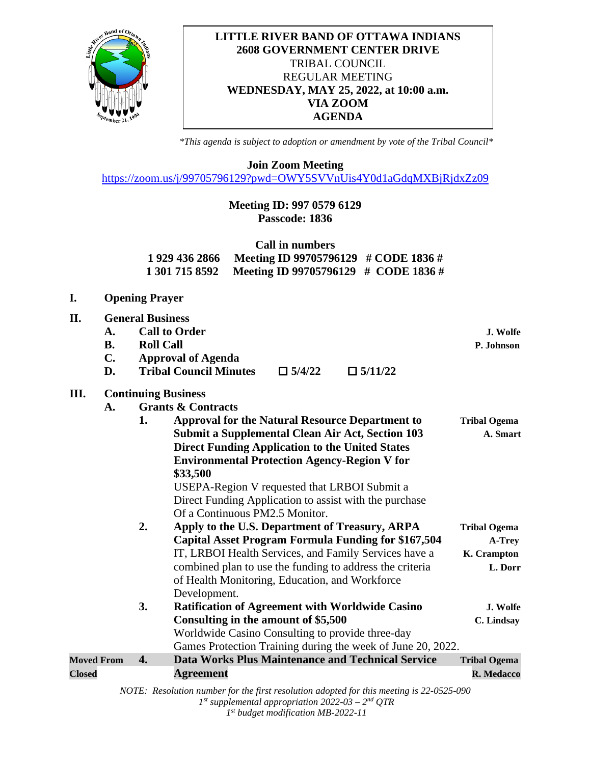

## **LITTLE RIVER BAND OF OTTAWA INDIANS 2608 GOVERNMENT CENTER DRIVE** TRIBAL COUNCIL REGULAR MEETING **WEDNESDAY, MAY 25, 2022, at 10:00 a.m. VIA ZOOM AGENDA**

*\*This agenda is subject to adoption or amendment by vote of the Tribal Council\**

**Join Zoom Meeting**

<https://zoom.us/j/99705796129?pwd=OWY5SVVnUis4Y0d1aGdqMXBjRjdxZz09>

# **Meeting ID: 997 0579 6129 Passcode: 1836**

|                | Call in numbers                                     |  |
|----------------|-----------------------------------------------------|--|
| 1 929 436 2866 | Meeting ID 99705796129 $\#$ CODE 1836 $\#$          |  |
|                | 1 301 715 8592 Meeting ID 99705796129 # CODE 1836 # |  |

| I.                |                             |                                             | <b>Opening Prayer</b>                                                                                                                                                                                                                                                                                                            |                        |  |  |  |
|-------------------|-----------------------------|---------------------------------------------|----------------------------------------------------------------------------------------------------------------------------------------------------------------------------------------------------------------------------------------------------------------------------------------------------------------------------------|------------------------|--|--|--|
| II.               | A.<br><b>B.</b><br>C.<br>D. | <b>General Business</b><br><b>Roll Call</b> | <b>Call to Order</b><br><b>Approval of Agenda</b><br><b>Tribal Council Minutes</b><br>$\Box$ 5/11/22<br>$\Box$ 5/4/22                                                                                                                                                                                                            | J. Wolfe<br>P. Johnson |  |  |  |
| Ш.                |                             |                                             | <b>Continuing Business</b>                                                                                                                                                                                                                                                                                                       |                        |  |  |  |
|                   | $\mathbf{A}$ .              |                                             | <b>Grants &amp; Contracts</b>                                                                                                                                                                                                                                                                                                    |                        |  |  |  |
|                   |                             | 1.                                          | <b>Approval for the Natural Resource Department to</b>                                                                                                                                                                                                                                                                           | <b>Tribal Ogema</b>    |  |  |  |
|                   |                             |                                             | <b>Submit a Supplemental Clean Air Act, Section 103</b><br><b>Direct Funding Application to the United States</b><br><b>Environmental Protection Agency-Region V for</b><br>\$33,500<br>USEPA-Region V requested that LRBOI Submit a<br>Direct Funding Application to assist with the purchase<br>Of a Continuous PM2.5 Monitor. | A. Smart               |  |  |  |
|                   |                             | 2.                                          | Apply to the U.S. Department of Treasury, ARPA                                                                                                                                                                                                                                                                                   | <b>Tribal Ogema</b>    |  |  |  |
|                   |                             |                                             | <b>Capital Asset Program Formula Funding for \$167,504</b>                                                                                                                                                                                                                                                                       | A-Trey                 |  |  |  |
|                   |                             |                                             | IT, LRBOI Health Services, and Family Services have a                                                                                                                                                                                                                                                                            | K. Crampton            |  |  |  |
|                   |                             |                                             | combined plan to use the funding to address the criteria<br>of Health Monitoring, Education, and Workforce<br>Development.                                                                                                                                                                                                       | L. Dorr                |  |  |  |
|                   |                             | 3.                                          | <b>Ratification of Agreement with Worldwide Casino</b>                                                                                                                                                                                                                                                                           | J. Wolfe               |  |  |  |
|                   |                             |                                             | Consulting in the amount of \$5,500                                                                                                                                                                                                                                                                                              | C. Lindsay             |  |  |  |
|                   |                             |                                             | Worldwide Casino Consulting to provide three-day                                                                                                                                                                                                                                                                                 |                        |  |  |  |
|                   |                             |                                             | Games Protection Training during the week of June 20, 2022.                                                                                                                                                                                                                                                                      |                        |  |  |  |
| <b>Moved From</b> |                             | 4.                                          | <b>Data Works Plus Maintenance and Technical Service</b>                                                                                                                                                                                                                                                                         | <b>Tribal Ogema</b>    |  |  |  |
| <b>Closed</b>     |                             |                                             | <b>Agreement</b>                                                                                                                                                                                                                                                                                                                 | R. Medacco             |  |  |  |
|                   |                             |                                             | NOTE: Resolution number for the first resolution adopted for this meeting is 22-0525-090<br>$1^{st}$ supplemental appropriation 2022-03 – 2 <sup>nd</sup> QTR                                                                                                                                                                    |                        |  |  |  |

*1st budget modification MB-2022-11*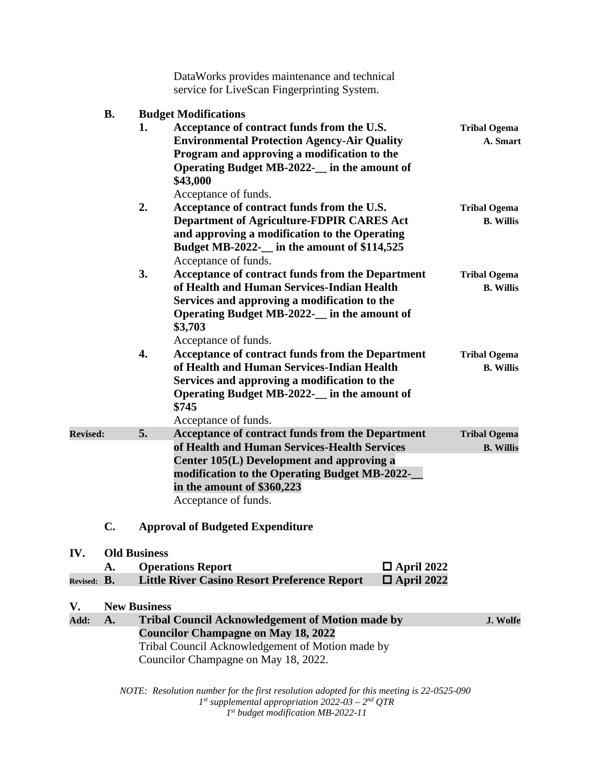|                                                                                          |           |                             | DataWorks provides maintenance and technical<br>service for LiveScan Fingerprinting System.                                                                                                                                                          |                                         |  |  |  |
|------------------------------------------------------------------------------------------|-----------|-----------------------------|------------------------------------------------------------------------------------------------------------------------------------------------------------------------------------------------------------------------------------------------------|-----------------------------------------|--|--|--|
|                                                                                          | <b>B.</b> | <b>Budget Modifications</b> |                                                                                                                                                                                                                                                      |                                         |  |  |  |
|                                                                                          |           | 1.                          | Acceptance of contract funds from the U.S.<br><b>Environmental Protection Agency-Air Quality</b><br>Program and approving a modification to the<br>Operating Budget MB-2022- in the amount of<br>\$43,000<br>Acceptance of funds.                    | <b>Tribal Ogema</b><br>A. Smart         |  |  |  |
|                                                                                          |           | 2.                          | Acceptance of contract funds from the U.S.<br><b>Department of Agriculture-FDPIR CARES Act</b><br>and approving a modification to the Operating<br>Budget MB-2022- in the amount of \$114,525<br>Acceptance of funds.                                | <b>Tribal Ogema</b><br><b>B.</b> Willis |  |  |  |
|                                                                                          |           | 3.                          | Acceptance of contract funds from the Department<br>of Health and Human Services-Indian Health<br>Services and approving a modification to the<br>Operating Budget MB-2022- in the amount of<br>\$3,703<br>Acceptance of funds.                      | <b>Tribal Ogema</b><br><b>B.</b> Willis |  |  |  |
|                                                                                          |           | 4.                          | Acceptance of contract funds from the Department<br>of Health and Human Services-Indian Health<br>Services and approving a modification to the<br>Operating Budget MB-2022- in the amount of<br>\$745<br>Acceptance of funds.                        | <b>Tribal Ogema</b><br><b>B.</b> Willis |  |  |  |
| <b>Revised:</b>                                                                          |           | 5.                          | Acceptance of contract funds from the Department<br>of Health and Human Services-Health Services<br>Center 105(L) Development and approving a<br>modification to the Operating Budget MB-2022-<br>in the amount of \$360,223<br>Acceptance of funds. | <b>Tribal Ogema</b><br><b>B.</b> Willis |  |  |  |
|                                                                                          | C.        |                             | <b>Approval of Budgeted Expenditure</b>                                                                                                                                                                                                              |                                         |  |  |  |
| IV.                                                                                      |           | <b>Old Business</b>         |                                                                                                                                                                                                                                                      |                                         |  |  |  |
|                                                                                          | A.        |                             | <b>Operations Report</b><br>$\Box$ April 2022                                                                                                                                                                                                        |                                         |  |  |  |
| Revised: B.                                                                              |           |                             | <b>Little River Casino Resort Preference Report</b><br>$\Box$ April 2022                                                                                                                                                                             |                                         |  |  |  |
| V.                                                                                       |           | <b>New Business</b>         |                                                                                                                                                                                                                                                      |                                         |  |  |  |
| Add:                                                                                     | A.        |                             | <b>Tribal Council Acknowledgement of Motion made by</b>                                                                                                                                                                                              | J. Wolfe                                |  |  |  |
|                                                                                          |           |                             | <b>Councilor Champagne on May 18, 2022</b><br>Tribal Council Acknowledgement of Motion made by<br>Councilor Champagne on May 18, 2022.                                                                                                               |                                         |  |  |  |
| NOTE: Resolution number for the first resolution adopted for this meeting is 22-0525-090 |           |                             |                                                                                                                                                                                                                                                      |                                         |  |  |  |

*1st supplemental appropriation 2022-03 – 2nd QTR 1st budget modification MB-2022-11*